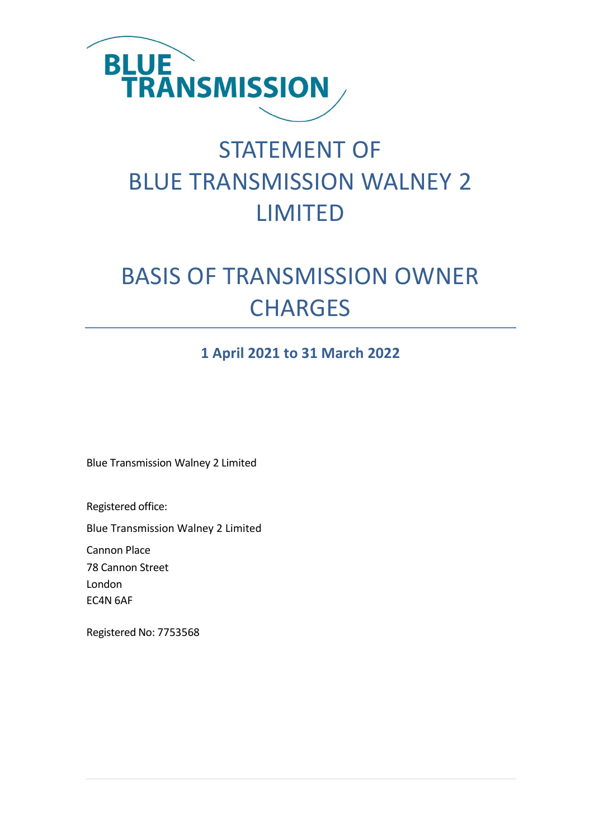

# STATEMENT OF BLUE TRANSMISSION WALNEY 2 LIMITED

# BASIS OF TRANSMISSION OWNER **CHARGES**

### **1 April 2021 to 31 March 2022**

Blue Transmission Walney 2 Limited

Registered office:

Blue Transmission Walney 2 Limited

Cannon Place

78 Cannon Street London

EC4N 6AF

Registered No: 7753568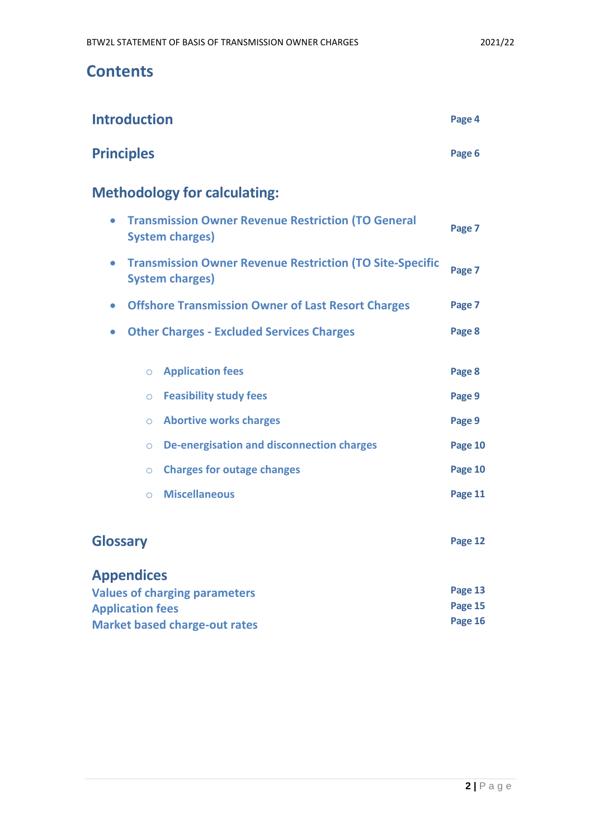## **Contents**

| <b>Introduction</b>                                                                                    | Page 4  |
|--------------------------------------------------------------------------------------------------------|---------|
| <b>Principles</b>                                                                                      | Page 6  |
| <b>Methodology for calculating:</b>                                                                    |         |
| <b>Transmission Owner Revenue Restriction (TO General</b><br>$\bullet$<br><b>System charges)</b>       |         |
| <b>Transmission Owner Revenue Restriction (TO Site-Specific</b><br>$\bullet$<br><b>System charges)</b> | Page 7  |
| <b>Offshore Transmission Owner of Last Resort Charges</b><br>$\bullet$                                 | Page 7  |
| <b>Other Charges - Excluded Services Charges</b><br>$\bullet$                                          | Page 8  |
| <b>Application fees</b><br>$\circ$                                                                     | Page 8  |
| <b>Feasibility study fees</b><br>$\circ$                                                               | Page 9  |
| <b>Abortive works charges</b><br>$\circ$                                                               | Page 9  |
| <b>De-energisation and disconnection charges</b><br>$\circ$                                            | Page 10 |
| <b>Charges for outage changes</b><br>$\circ$                                                           | Page 10 |
| <b>Miscellaneous</b><br>$\circ$                                                                        | Page 11 |
| <b>Glossary</b>                                                                                        | Page 12 |
| <b>Appendices</b>                                                                                      |         |

| <b>Values of charging parameters</b> | Page 13 |
|--------------------------------------|---------|
| <b>Application fees</b>              | Page 15 |
| <b>Market based charge-out rates</b> | Page 16 |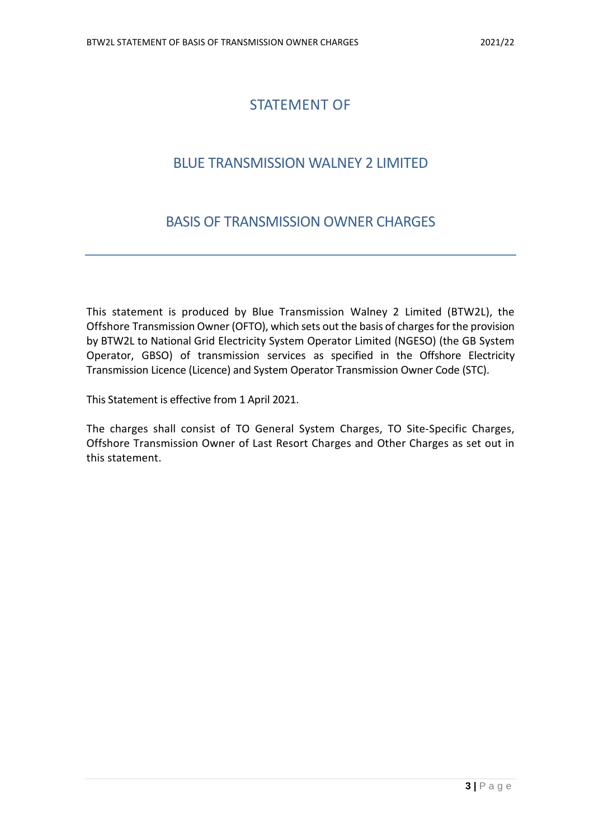### STATEMENT OF

### BLUE TRANSMISSION WALNEY 2 LIMITED

### BASIS OF TRANSMISSION OWNER CHARGES

This statement is produced by Blue Transmission Walney 2 Limited (BTW2L), the Offshore Transmission Owner (OFTO), which sets out the basis of charges for the provision by BTW2L to National Grid Electricity System Operator Limited (NGESO) (the GB System Operator, GBSO) of transmission services as specified in the Offshore Electricity Transmission Licence (Licence) and System Operator Transmission Owner Code (STC).

This Statement is effective from 1 April 2021.

The charges shall consist of TO General System Charges, TO Site-Specific Charges, Offshore Transmission Owner of Last Resort Charges and Other Charges as set out in this statement.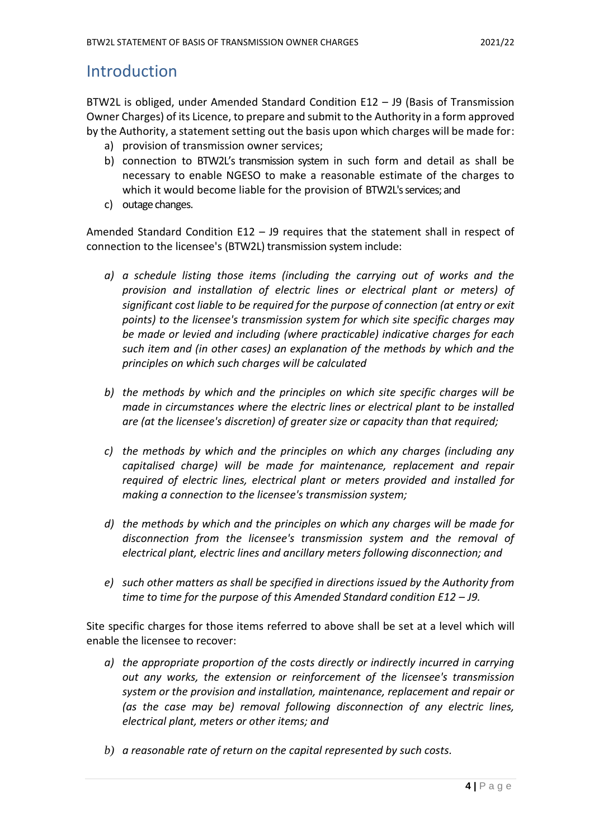### **Introduction**

BTW2L is obliged, under Amended Standard Condition E12 – J9 (Basis of Transmission Owner Charges) of its Licence, to prepare and submit to the Authority in a form approved by the Authority, a statement setting out the basis upon which charges will be made for:

- a) provision of transmission owner services;
- b) connection to BTW2L's transmission system in such form and detail as shall be necessary to enable NGESO to make a reasonable estimate of the charges to which it would become liable for the provision of BTW2L's services; and
- c) outage changes.

Amended Standard Condition E12 – J9 requires that the statement shall in respect of connection to the licensee's (BTW2L) transmission system include:

- *a) a schedule listing those items (including the carrying out of works and the provision and installation of electric lines or electrical plant or meters) of significant cost liable to be required for the purpose of connection (at entry or exit points) to the licensee's transmission system for which site specific charges may be made or levied and including (where practicable) indicative charges for each such item and (in other cases) an explanation of the methods by which and the principles on which such charges will be calculated*
- *b) the methods by which and the principles on which site specific charges will be made in circumstances where the electric lines or electrical plant to be installed are (at the licensee's discretion) of greater size or capacity than that required;*
- *c) the methods by which and the principles on which any charges (including any capitalised charge) will be made for maintenance, replacement and repair required of electric lines, electrical plant or meters provided and installed for making a connection to the licensee's transmission system;*
- *d) the methods by which and the principles on which any charges will be made for disconnection from the licensee's transmission system and the removal of electrical plant, electric lines and ancillary meters following disconnection; and*
- *e) such other matters as shall be specified in directions issued by the Authority from time to time for the purpose of this Amended Standard condition E12 – J9.*

Site specific charges for those items referred to above shall be set at a level which will enable the licensee to recover:

- *a) the appropriate proportion of the costs directly or indirectly incurred in carrying out any works, the extension or reinforcement of the licensee's transmission system or the provision and installation, maintenance, replacement and repair or (as the case may be) removal following disconnection of any electric lines, electrical plant, meters or other items; and*
- *b) a reasonable rate of return on the capital represented by such costs.*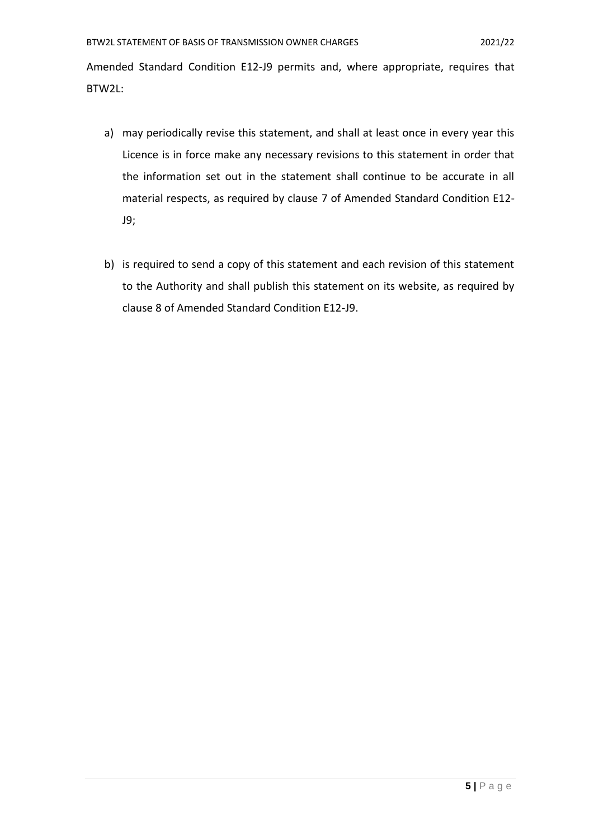Amended Standard Condition E12-J9 permits and, where appropriate, requires that BTW2L:

- a) may periodically revise this statement, and shall at least once in every year this Licence is in force make any necessary revisions to this statement in order that the information set out in the statement shall continue to be accurate in all material respects, as required by clause 7 of Amended Standard Condition E12- J9;
- b) is required to send a copy of this statement and each revision of this statement to the Authority and shall publish this statement on its website, as required by clause 8 of Amended Standard Condition E12-J9.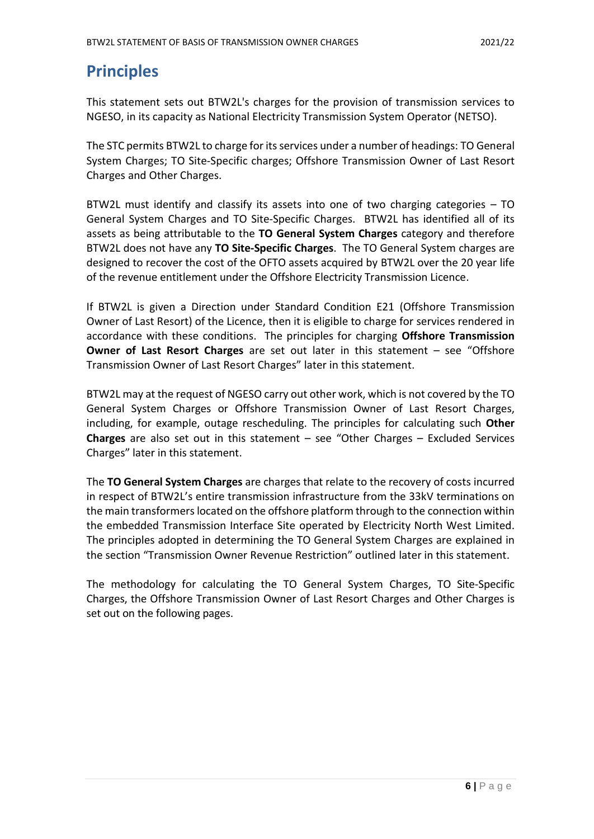## **Principles**

This statement sets out BTW2L's charges for the provision of transmission services to NGESO, in its capacity as National Electricity Transmission System Operator (NETSO).

The STC permits BTW2L to charge for its services under a number of headings: TO General System Charges; TO Site-Specific charges; Offshore Transmission Owner of Last Resort Charges and Other Charges.

BTW2L must identify and classify its assets into one of two charging categories – TO General System Charges and TO Site-Specific Charges. BTW2L has identified all of its assets as being attributable to the **TO General System Charges** category and therefore BTW2L does not have any **TO Site-Specific Charges**. The TO General System charges are designed to recover the cost of the OFTO assets acquired by BTW2L over the 20 year life of the revenue entitlement under the Offshore Electricity Transmission Licence.

If BTW2L is given a Direction under Standard Condition E21 (Offshore Transmission Owner of Last Resort) of the Licence, then it is eligible to charge for services rendered in accordance with these conditions. The principles for charging **Offshore Transmission Owner of Last Resort Charges** are set out later in this statement – see "Offshore Transmission Owner of Last Resort Charges" later in this statement.

BTW2L may at the request of NGESO carry out other work, which is not covered by the TO General System Charges or Offshore Transmission Owner of Last Resort Charges, including, for example, outage rescheduling. The principles for calculating such **Other Charges** are also set out in this statement – see "Other Charges – Excluded Services Charges" later in this statement.

The **TO General System Charges** are charges that relate to the recovery of costs incurred in respect of BTW2L's entire transmission infrastructure from the 33kV terminations on the main transformerslocated on the offshore platform through to the connection within the embedded Transmission Interface Site operated by Electricity North West Limited. The principles adopted in determining the TO General System Charges are explained in the section "Transmission Owner Revenue Restriction" outlined later in this statement.

The methodology for calculating the TO General System Charges, TO Site-Specific Charges, the Offshore Transmission Owner of Last Resort Charges and Other Charges is set out on the following pages.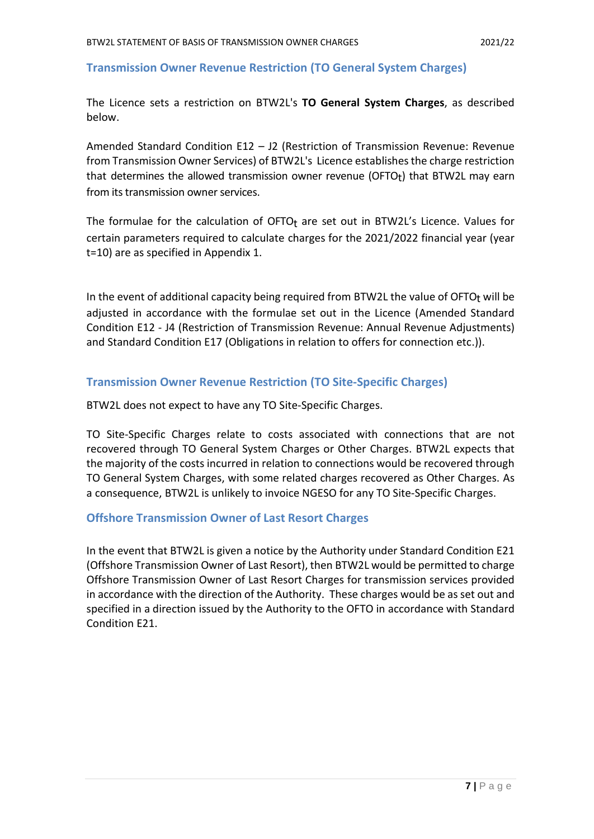#### **Transmission Owner Revenue Restriction (TO General System Charges)**

The Licence sets a restriction on BTW2L's **TO General System Charges**, as described below.

Amended Standard Condition E12 – J2 (Restriction of Transmission Revenue: Revenue from Transmission Owner Services) of BTW2L's Licence establishes the charge restriction that determines the allowed transmission owner revenue (OFTO<sub>t</sub>) that BTW2L may earn from its transmission owner services.

The formulae for the calculation of  $OFTO<sub>t</sub>$  are set out in BTW2L's Licence. Values for certain parameters required to calculate charges for the 2021/2022 financial year (year t=10) are as specified in Appendix 1.

In the event of additional capacity being required from BTW2L the value of OFTO $<sub>t</sub>$  will be</sub> adjusted in accordance with the formulae set out in the Licence (Amended Standard Condition E12 - J4 (Restriction of Transmission Revenue: Annual Revenue Adjustments) and Standard Condition E17 (Obligations in relation to offers for connection etc.)).

#### **Transmission Owner Revenue Restriction (TO Site-Specific Charges)**

BTW2L does not expect to have any TO Site-Specific Charges.

TO Site-Specific Charges relate to costs associated with connections that are not recovered through TO General System Charges or Other Charges. BTW2L expects that the majority of the costs incurred in relation to connections would be recovered through TO General System Charges, with some related charges recovered as Other Charges. As a consequence, BTW2L is unlikely to invoice NGESO for any TO Site-Specific Charges.

#### **Offshore Transmission Owner of Last Resort Charges**

In the event that BTW2L is given a notice by the Authority under Standard Condition E21 (Offshore Transmission Owner of Last Resort), then BTW2L would be permitted to charge Offshore Transmission Owner of Last Resort Charges for transmission services provided in accordance with the direction of the Authority. These charges would be as set out and specified in a direction issued by the Authority to the OFTO in accordance with Standard Condition E21.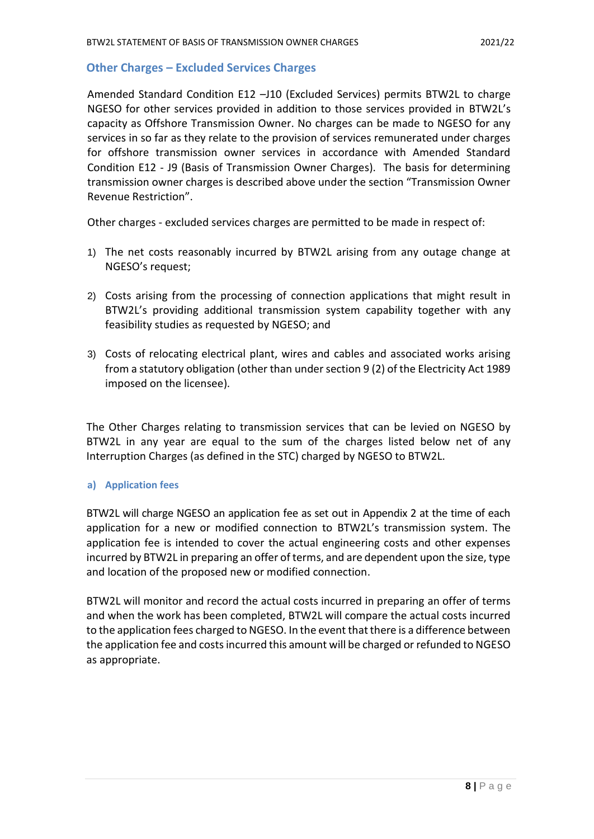#### **Other Charges – Excluded Services Charges**

Amended Standard Condition E12 –J10 (Excluded Services) permits BTW2L to charge NGESO for other services provided in addition to those services provided in BTW2L's capacity as Offshore Transmission Owner. No charges can be made to NGESO for any services in so far as they relate to the provision of services remunerated under charges for offshore transmission owner services in accordance with Amended Standard Condition E12 - J9 (Basis of Transmission Owner Charges). The basis for determining transmission owner charges is described above under the section "Transmission Owner Revenue Restriction".

Other charges - excluded services charges are permitted to be made in respect of:

- 1) The net costs reasonably incurred by BTW2L arising from any outage change at NGESO's request;
- 2) Costs arising from the processing of connection applications that might result in BTW2L's providing additional transmission system capability together with any feasibility studies as requested by NGESO; and
- 3) Costs of relocating electrical plant, wires and cables and associated works arising from a statutory obligation (other than under section 9 (2) of the Electricity Act 1989 imposed on the licensee).

The Other Charges relating to transmission services that can be levied on NGESO by BTW2L in any year are equal to the sum of the charges listed below net of any Interruption Charges (as defined in the STC) charged by NGESO to BTW2L.

#### **a) Application fees**

BTW2L will charge NGESO an application fee as set out in Appendix 2 at the time of each application for a new or modified connection to BTW2L's transmission system. The application fee is intended to cover the actual engineering costs and other expenses incurred by BTW2L in preparing an offer of terms, and are dependent upon the size, type and location of the proposed new or modified connection.

BTW2L will monitor and record the actual costs incurred in preparing an offer of terms and when the work has been completed, BTW2L will compare the actual costs incurred to the application fees charged to NGESO. In the event that there is a difference between the application fee and costs incurred this amount will be charged or refunded to NGESO as appropriate.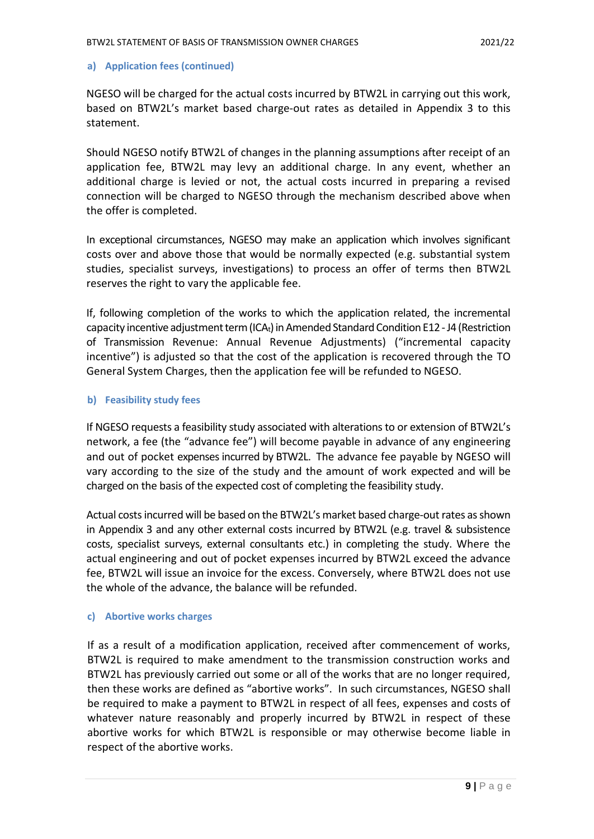#### **a) Application fees (continued)**

NGESO will be charged for the actual costs incurred by BTW2L in carrying out this work, based on BTW2L's market based charge-out rates as detailed in Appendix 3 to this statement.

Should NGESO notify BTW2L of changes in the planning assumptions after receipt of an application fee, BTW2L may levy an additional charge. In any event, whether an additional charge is levied or not, the actual costs incurred in preparing a revised connection will be charged to NGESO through the mechanism described above when the offer is completed.

In exceptional circumstances, NGESO may make an application which involves significant costs over and above those that would be normally expected (e.g. substantial system studies, specialist surveys, investigations) to process an offer of terms then BTW2L reserves the right to vary the applicable fee.

If, following completion of the works to which the application related, the incremental capacity incentive adjustment term (ICA<sub>t</sub>) in Amended Standard Condition E12 - J4 (Restriction of Transmission Revenue: Annual Revenue Adjustments) ("incremental capacity incentive") is adjusted so that the cost of the application is recovered through the TO General System Charges, then the application fee will be refunded to NGESO.

#### **b) Feasibility study fees**

If NGESO requests a feasibility study associated with alterations to or extension of BTW2L's network, a fee (the "advance fee") will become payable in advance of any engineering and out of pocket expensesincurred by BTW2L. The advance fee payable by NGESO will vary according to the size of the study and the amount of work expected and will be charged on the basis of the expected cost of completing the feasibility study.

Actual costs incurred will be based on the BTW2L's market based charge-out rates as shown in Appendix 3 and any other external costs incurred by BTW2L (e.g. travel & subsistence costs, specialist surveys, external consultants etc.) in completing the study. Where the actual engineering and out of pocket expenses incurred by BTW2L exceed the advance fee, BTW2L will issue an invoice for the excess. Conversely, where BTW2L does not use the whole of the advance, the balance will be refunded.

#### **c) Abortive works charges**

If as a result of a modification application, received after commencement of works, BTW2L is required to make amendment to the transmission construction works and BTW2L has previously carried out some or all of the works that are no longer required, then these works are defined as "abortive works". In such circumstances, NGESO shall be required to make a payment to BTW2L in respect of all fees, expenses and costs of whatever nature reasonably and properly incurred by BTW2L in respect of these abortive works for which BTW2L is responsible or may otherwise become liable in respect of the abortive works.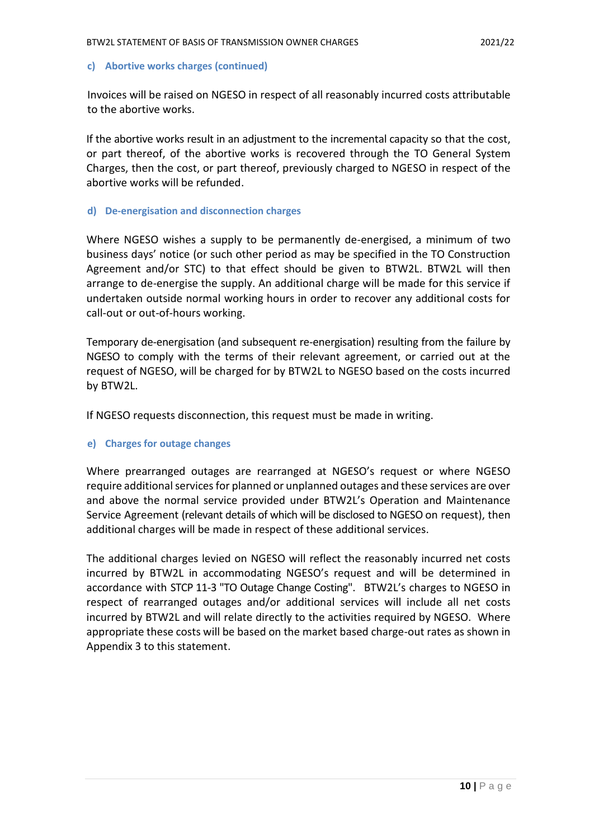#### **c) Abortive works charges (continued)**

Invoices will be raised on NGESO in respect of all reasonably incurred costs attributable to the abortive works.

If the abortive works result in an adjustment to the incremental capacity so that the cost, or part thereof, of the abortive works is recovered through the TO General System Charges, then the cost, or part thereof, previously charged to NGESO in respect of the abortive works will be refunded.

#### **d) De-energisation and disconnection charges**

Where NGESO wishes a supply to be permanently de-energised, a minimum of two business days' notice (or such other period as may be specified in the TO Construction Agreement and/or STC) to that effect should be given to BTW2L. BTW2L will then arrange to de-energise the supply. An additional charge will be made for this service if undertaken outside normal working hours in order to recover any additional costs for call-out or out-of-hours working.

Temporary de-energisation (and subsequent re-energisation) resulting from the failure by NGESO to comply with the terms of their relevant agreement, or carried out at the request of NGESO, will be charged for by BTW2L to NGESO based on the costs incurred by BTW2L.

If NGESO requests disconnection, this request must be made in writing.

#### **e) Charges for outage changes**

Where prearranged outages are rearranged at NGESO's request or where NGESO require additional services for planned or unplanned outages and these services are over and above the normal service provided under BTW2L's Operation and Maintenance Service Agreement (relevant details of which will be disclosed to NGESO on request), then additional charges will be made in respect of these additional services.

The additional charges levied on NGESO will reflect the reasonably incurred net costs incurred by BTW2L in accommodating NGESO's request and will be determined in accordance with STCP 11-3 "TO Outage Change Costing". BTW2L's charges to NGESO in respect of rearranged outages and/or additional services will include all net costs incurred by BTW2L and will relate directly to the activities required by NGESO. Where appropriate these costs will be based on the market based charge-out rates as shown in Appendix 3 to this statement.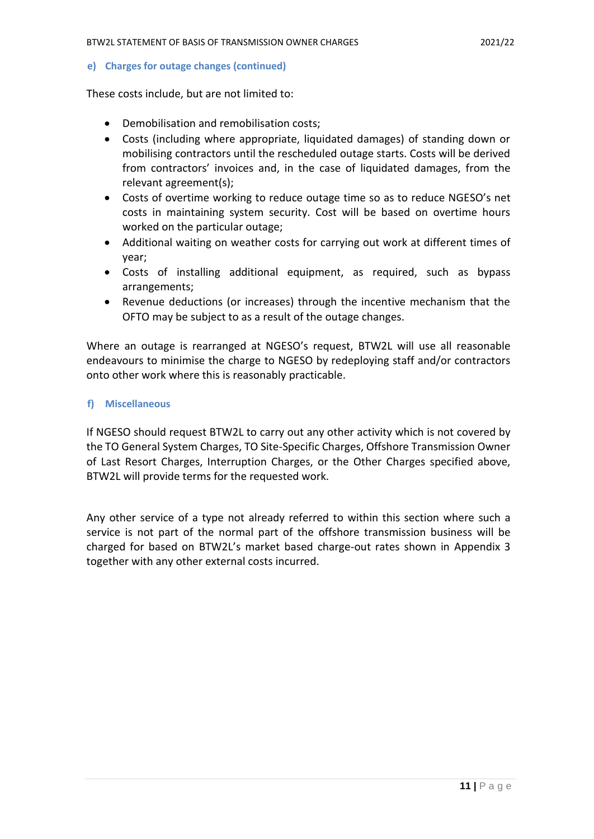**e) Charges for outage changes (continued)**

These costs include, but are not limited to:

- Demobilisation and remobilisation costs;
- Costs (including where appropriate, liquidated damages) of standing down or mobilising contractors until the rescheduled outage starts. Costs will be derived from contractors' invoices and, in the case of liquidated damages, from the relevant agreement(s);
- Costs of overtime working to reduce outage time so as to reduce NGESO's net costs in maintaining system security. Cost will be based on overtime hours worked on the particular outage;
- Additional waiting on weather costs for carrying out work at different times of year;
- Costs of installing additional equipment, as required, such as bypass arrangements;
- Revenue deductions (or increases) through the incentive mechanism that the OFTO may be subject to as a result of the outage changes.

Where an outage is rearranged at NGESO's request, BTW2L will use all reasonable endeavours to minimise the charge to NGESO by redeploying staff and/or contractors onto other work where this is reasonably practicable.

#### **f) Miscellaneous**

If NGESO should request BTW2L to carry out any other activity which is not covered by the TO General System Charges, TO Site-Specific Charges, Offshore Transmission Owner of Last Resort Charges, Interruption Charges, or the Other Charges specified above, BTW2L will provide terms for the requested work.

Any other service of a type not already referred to within this section where such a service is not part of the normal part of the offshore transmission business will be charged for based on BTW2L's market based charge-out rates shown in Appendix 3 together with any other external costs incurred.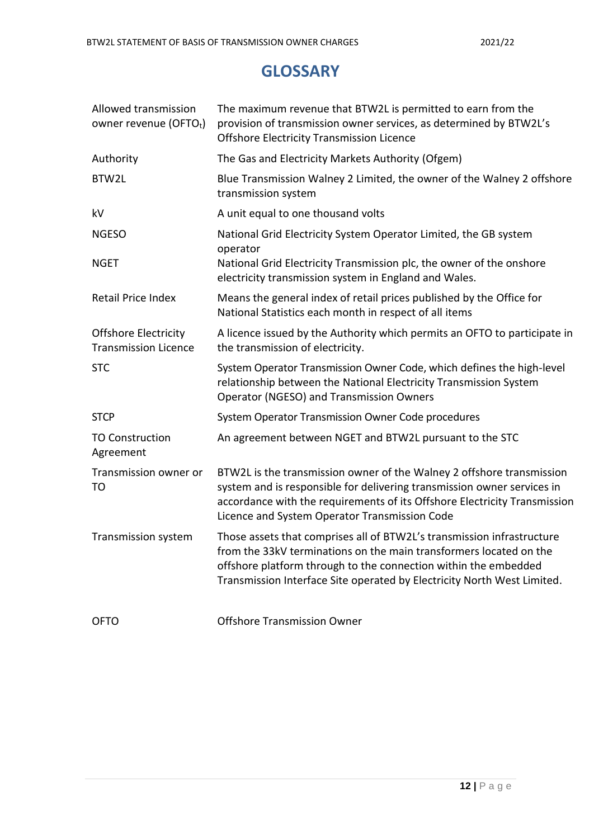### **GLOSSARY**

| Allowed transmission<br>owner revenue (OFTOt)              | The maximum revenue that BTW2L is permitted to earn from the<br>provision of transmission owner services, as determined by BTW2L's<br><b>Offshore Electricity Transmission Licence</b>                                                                                                     |
|------------------------------------------------------------|--------------------------------------------------------------------------------------------------------------------------------------------------------------------------------------------------------------------------------------------------------------------------------------------|
| Authority                                                  | The Gas and Electricity Markets Authority (Ofgem)                                                                                                                                                                                                                                          |
| BTW2L                                                      | Blue Transmission Walney 2 Limited, the owner of the Walney 2 offshore<br>transmission system                                                                                                                                                                                              |
| kV                                                         | A unit equal to one thousand volts                                                                                                                                                                                                                                                         |
| <b>NGESO</b>                                               | National Grid Electricity System Operator Limited, the GB system<br>operator                                                                                                                                                                                                               |
| <b>NGET</b>                                                | National Grid Electricity Transmission plc, the owner of the onshore<br>electricity transmission system in England and Wales.                                                                                                                                                              |
| Retail Price Index                                         | Means the general index of retail prices published by the Office for<br>National Statistics each month in respect of all items                                                                                                                                                             |
| <b>Offshore Electricity</b><br><b>Transmission Licence</b> | A licence issued by the Authority which permits an OFTO to participate in<br>the transmission of electricity.                                                                                                                                                                              |
| <b>STC</b>                                                 | System Operator Transmission Owner Code, which defines the high-level<br>relationship between the National Electricity Transmission System<br><b>Operator (NGESO) and Transmission Owners</b>                                                                                              |
| <b>STCP</b>                                                | System Operator Transmission Owner Code procedures                                                                                                                                                                                                                                         |
| <b>TO Construction</b><br>Agreement                        | An agreement between NGET and BTW2L pursuant to the STC                                                                                                                                                                                                                                    |
| Transmission owner or<br>TO                                | BTW2L is the transmission owner of the Walney 2 offshore transmission<br>system and is responsible for delivering transmission owner services in<br>accordance with the requirements of its Offshore Electricity Transmission<br>Licence and System Operator Transmission Code             |
| Transmission system                                        | Those assets that comprises all of BTW2L's transmission infrastructure<br>from the 33kV terminations on the main transformers located on the<br>offshore platform through to the connection within the embedded<br>Transmission Interface Site operated by Electricity North West Limited. |
| <b>OFTO</b>                                                | <b>Offshore Transmission Owner</b>                                                                                                                                                                                                                                                         |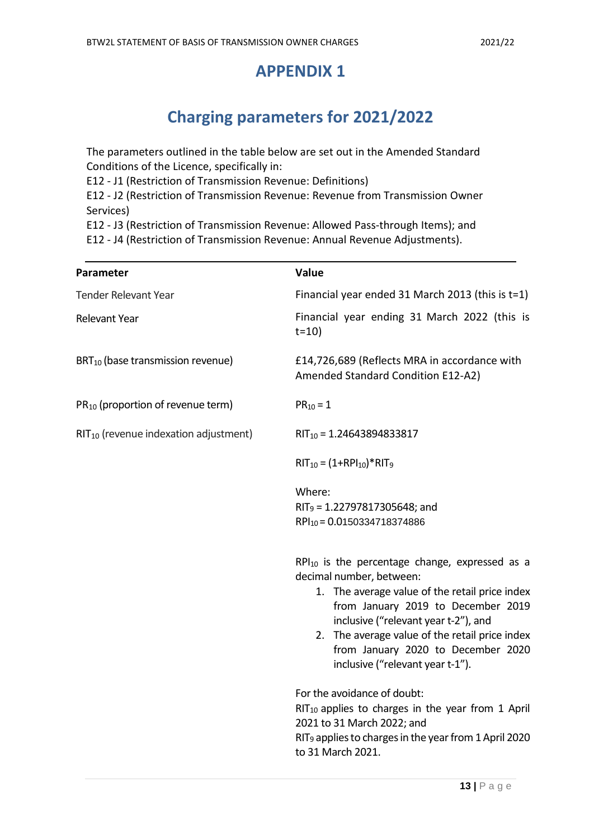### **APPENDIX 1**

## **Charging parameters for 2021/2022**

The parameters outlined in the table below are set out in the Amended Standard Conditions of the Licence, specifically in:

E12 - J1 (Restriction of Transmission Revenue: Definitions)

E12 - J2 (Restriction of Transmission Revenue: Revenue from Transmission Owner Services)

E12 - J3 (Restriction of Transmission Revenue: Allowed Pass-through Items); and

E12 - J4 (Restriction of Transmission Revenue: Annual Revenue Adjustments).

| Parameter                                         | Value                                                                                                                                                                                                                                                                                                                                       |
|---------------------------------------------------|---------------------------------------------------------------------------------------------------------------------------------------------------------------------------------------------------------------------------------------------------------------------------------------------------------------------------------------------|
| <b>Tender Relevant Year</b>                       | Financial year ended 31 March 2013 (this is $t=1$ )                                                                                                                                                                                                                                                                                         |
| Relevant Year                                     | Financial year ending 31 March 2022 (this is<br>$t = 10$                                                                                                                                                                                                                                                                                    |
| BRT <sub>10</sub> (base transmission revenue)     | £14,726,689 (Reflects MRA in accordance with<br>Amended Standard Condition E12-A2)                                                                                                                                                                                                                                                          |
| PR <sub>10</sub> (proportion of revenue term)     | $PR_{10} = 1$                                                                                                                                                                                                                                                                                                                               |
| RIT <sub>10</sub> (revenue indexation adjustment) | $RIT_{10} = 1.24643894833817$                                                                                                                                                                                                                                                                                                               |
|                                                   | $RIT_{10} = (1+RPI_{10})*RIT_{9}$                                                                                                                                                                                                                                                                                                           |
|                                                   | Where:                                                                                                                                                                                                                                                                                                                                      |
|                                                   | $RIT9 = 1.22797817305648$ ; and                                                                                                                                                                                                                                                                                                             |
|                                                   | RPI10 = 0.0150334718374886                                                                                                                                                                                                                                                                                                                  |
|                                                   | $RPI_{10}$ is the percentage change, expressed as a<br>decimal number, between:<br>1. The average value of the retail price index<br>from January 2019 to December 2019<br>inclusive ("relevant year t-2"), and<br>2. The average value of the retail price index<br>from January 2020 to December 2020<br>inclusive ("relevant year t-1"). |
|                                                   | For the avoidance of doubt:<br>$RIT_{10}$ applies to charges in the year from 1 April<br>2021 to 31 March 2022; and<br>RIT <sub>9</sub> applies to charges in the year from 1 April 2020<br>to 31 March 2021.                                                                                                                               |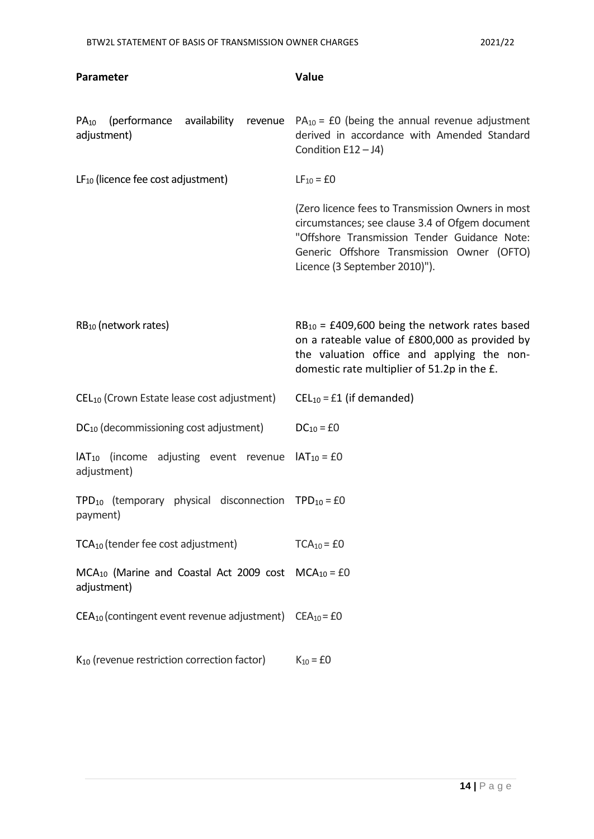| Parameter                                                                              | Value                                                                                                                                                                                                                               |
|----------------------------------------------------------------------------------------|-------------------------------------------------------------------------------------------------------------------------------------------------------------------------------------------------------------------------------------|
| (performance<br>availability<br>$PA_{10}$<br>revenue<br>adjustment)                    | $PA_{10} = £0$ (being the annual revenue adjustment<br>derived in accordance with Amended Standard<br>Condition $E12 - J4$ )                                                                                                        |
| $LF_{10}$ (licence fee cost adjustment)                                                | $LF_{10} = £0$                                                                                                                                                                                                                      |
|                                                                                        | (Zero licence fees to Transmission Owners in most<br>circumstances; see clause 3.4 of Ofgem document<br>"Offshore Transmission Tender Guidance Note:<br>Generic Offshore Transmission Owner (OFTO)<br>Licence (3 September 2010)"). |
| $RB_{10}$ (network rates)                                                              | $RB_{10} = \text{\pounds}409,600$ being the network rates based<br>on a rateable value of £800,000 as provided by<br>the valuation office and applying the non-<br>domestic rate multiplier of 51.2p in the £.                      |
| CEL <sub>10</sub> (Crown Estate lease cost adjustment)                                 | $CEL_{10} = £1$ (if demanded)                                                                                                                                                                                                       |
| DC <sub>10</sub> (decommissioning cost adjustment)                                     | $DC_{10} = £0$                                                                                                                                                                                                                      |
| $IAT_{10}$ (income<br>adjusting event revenue<br>adjustment)                           | $IAT_{10} = £0$                                                                                                                                                                                                                     |
| TPD <sub>10</sub> (temporary physical disconnection TPD <sub>10</sub> = £0<br>payment) |                                                                                                                                                                                                                                     |
| TCA <sub>10</sub> (tender fee cost adjustment)                                         | $TCA_{10} = £0$                                                                                                                                                                                                                     |
| MCA <sub>10</sub> (Marine and Coastal Act 2009 cost<br>adjustment)                     | $MCA_{10} = £0$                                                                                                                                                                                                                     |
| $CEA_{10}$ (contingent event revenue adjustment) $CEA_{10} = £0$                       |                                                                                                                                                                                                                                     |
| K <sub>10</sub> (revenue restriction correction factor)                                | $K_{10} = £0$                                                                                                                                                                                                                       |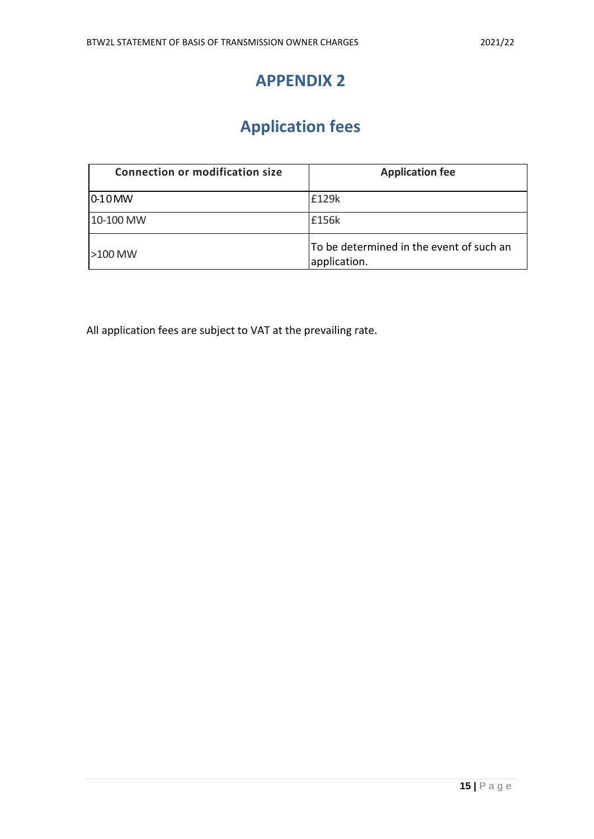### **APPENDIX 2**

# **Application fees**

| <b>Connection or modification size</b> | <b>Application fee</b>                                   |
|----------------------------------------|----------------------------------------------------------|
| $ 0-10$ MW                             | £129k                                                    |
| 10-100 MW                              | £156k                                                    |
| $\geq$ 100 MW                          | To be determined in the event of such an<br>application. |

All application fees are subject to VAT at the prevailing rate.